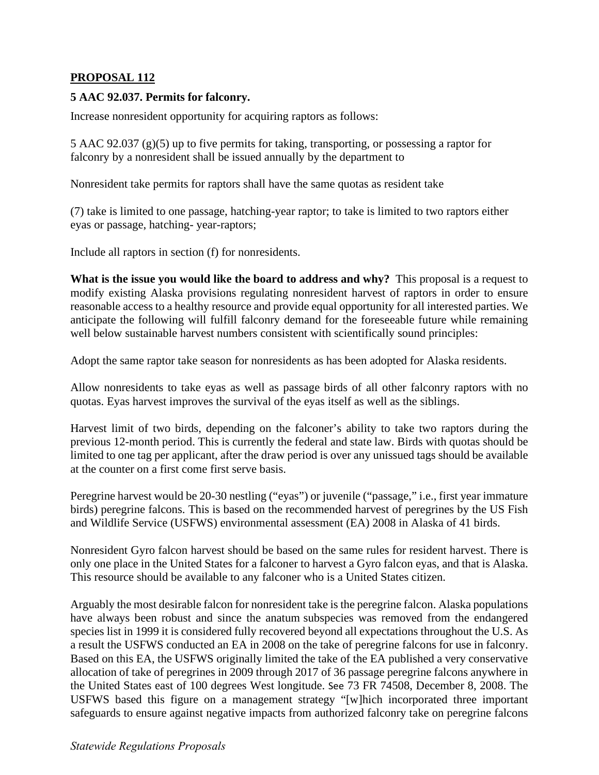## **PROPOSAL 112**

## **5 AAC 92.037. Permits for falconry.**

Increase nonresident opportunity for acquiring raptors as follows:

5 AAC 92.037 (g)(5) up to five permits for taking, transporting, or possessing a raptor for falconry by a nonresident shall be issued annually by the department to

Nonresident take permits for raptors shall have the same quotas as resident take

(7) take is limited to one passage, hatching-year raptor; to take is limited to two raptors either eyas or passage, hatching- year-raptors;

Include all raptors in section (f) for nonresidents.

**What is the issue you would like the board to address and why?** This proposal is a request to modify existing Alaska provisions regulating nonresident harvest of raptors in order to ensure reasonable access to a healthy resource and provide equal opportunity for all interested parties. We anticipate the following will fulfill falconry demand for the foreseeable future while remaining well below sustainable harvest numbers consistent with scientifically sound principles:

Adopt the same raptor take season for nonresidents as has been adopted for Alaska residents.

Allow nonresidents to take eyas as well as passage birds of all other falconry raptors with no quotas. Eyas harvest improves the survival of the eyas itself as well as the siblings.

Harvest limit of two birds, depending on the falconer's ability to take two raptors during the previous 12-month period. This is currently the federal and state law. Birds with quotas should be limited to one tag per applicant, after the draw period is over any unissued tags should be available at the counter on a first come first serve basis.

Peregrine harvest would be 20-30 nestling ("eyas") or juvenile ("passage," i.e., first year immature birds) peregrine falcons. This is based on the recommended harvest of peregrines by the US Fish and Wildlife Service (USFWS) environmental assessment (EA) 2008 in Alaska of 41 birds.

Nonresident Gyro falcon harvest should be based on the same rules for resident harvest. There is only one place in the United States for a falconer to harvest a Gyro falcon eyas, and that is Alaska. This resource should be available to any falconer who is a United States citizen.

Arguably the most desirable falcon for nonresident take is the peregrine falcon. Alaska populations have always been robust and since the anatum subspecies was removed from the endangered species list in 1999 it is considered fully recovered beyond all expectations throughout the U.S. As a result the USFWS conducted an EA in 2008 on the take of peregrine falcons for use in falconry. Based on this EA, the USFWS originally limited the take of the EA published a very conservative allocation of take of peregrines in 2009 through 2017 of 36 passage peregrine falcons anywhere in the United States east of 100 degrees West longitude. See 73 FR 74508, December 8, 2008. The USFWS based this figure on a management strategy "[w]hich incorporated three important safeguards to ensure against negative impacts from authorized falconry take on peregrine falcons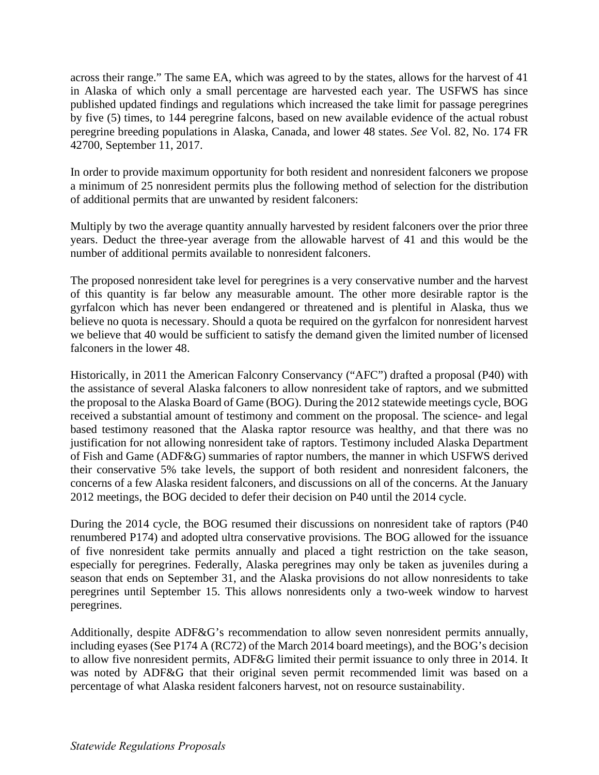across their range." The same EA, which was agreed to by the states, allows for the harvest of 41 in Alaska of which only a small percentage are harvested each year. The USFWS has since published updated findings and regulations which increased the take limit for passage peregrines by five (5) times, to 144 peregrine falcons, based on new available evidence of the actual robust peregrine breeding populations in Alaska, Canada, and lower 48 states. *See* Vol. 82, No. 174 FR 42700, September 11, 2017.

In order to provide maximum opportunity for both resident and nonresident falconers we propose a minimum of 25 nonresident permits plus the following method of selection for the distribution of additional permits that are unwanted by resident falconers:

Multiply by two the average quantity annually harvested by resident falconers over the prior three years. Deduct the three-year average from the allowable harvest of 41 and this would be the number of additional permits available to nonresident falconers.

The proposed nonresident take level for peregrines is a very conservative number and the harvest of this quantity is far below any measurable amount. The other more desirable raptor is the gyrfalcon which has never been endangered or threatened and is plentiful in Alaska, thus we believe no quota is necessary. Should a quota be required on the gyrfalcon for nonresident harvest we believe that 40 would be sufficient to satisfy the demand given the limited number of licensed falconers in the lower 48.

Historically, in 2011 the American Falconry Conservancy ("AFC") drafted a proposal (P40) with the assistance of several Alaska falconers to allow nonresident take of raptors, and we submitted the proposal to the Alaska Board of Game (BOG). During the 2012 statewide meetings cycle, BOG received a substantial amount of testimony and comment on the proposal. The science- and legal based testimony reasoned that the Alaska raptor resource was healthy, and that there was no justification for not allowing nonresident take of raptors. Testimony included Alaska Department of Fish and Game (ADF&G) summaries of raptor numbers, the manner in which USFWS derived their conservative 5% take levels, the support of both resident and nonresident falconers, the concerns of a few Alaska resident falconers, and discussions on all of the concerns. At the January 2012 meetings, the BOG decided to defer their decision on P40 until the 2014 cycle.

During the 2014 cycle, the BOG resumed their discussions on nonresident take of raptors (P40 renumbered P174) and adopted ultra conservative provisions. The BOG allowed for the issuance of five nonresident take permits annually and placed a tight restriction on the take season, especially for peregrines. Federally, Alaska peregrines may only be taken as juveniles during a season that ends on September 31, and the Alaska provisions do not allow nonresidents to take peregrines until September 15. This allows nonresidents only a two-week window to harvest peregrines.

Additionally, despite ADF&G's recommendation to allow seven nonresident permits annually, including eyases (See P174 A (RC72) of the March 2014 board meetings), and the BOG's decision to allow five nonresident permits, ADF&G limited their permit issuance to only three in 2014. It was noted by ADF&G that their original seven permit recommended limit was based on a percentage of what Alaska resident falconers harvest, not on resource sustainability.